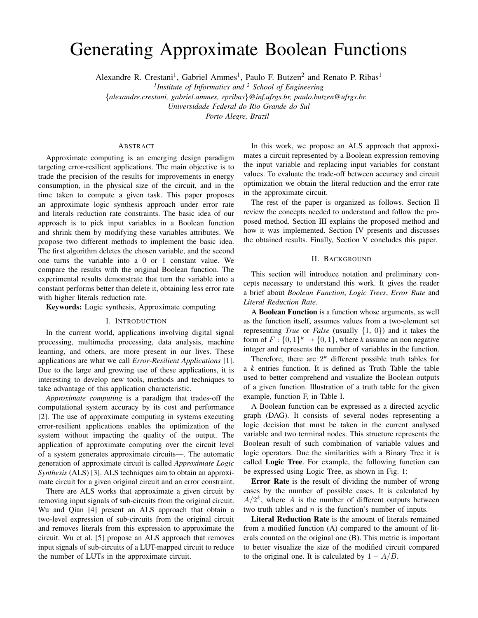# Generating Approximate Boolean Functions

Alexandre R. Crestani<sup>1</sup>, Gabriel Ammes<sup>1</sup>, Paulo F. Butzen<sup>2</sup> and Renato P. Ribas<sup>1</sup>

*1 Institute of Informatics and <sup>2</sup> School of Engineering*

{*alexandre.crestani, gabriel.ammes, rpribas*}*@inf.ufrgs.br, paulo.butzen@ufrgs.br.*

*Universidade Federal do Rio Grande do Sul*

*Porto Alegre, Brazil*

# ABSTRACT

Approximate computing is an emerging design paradigm targeting error-resilient applications. The main objective is to trade the precision of the results for improvements in energy consumption, in the physical size of the circuit, and in the time taken to compute a given task. This paper proposes an approximate logic synthesis approach under error rate and literals reduction rate constraints. The basic idea of our approach is to pick input variables in a Boolean function and shrink them by modifying these variables attributes. We propose two different methods to implement the basic idea. The first algorithm deletes the chosen variable, and the second one turns the variable into a 0 or 1 constant value. We compare the results with the original Boolean function. The experimental results demonstrate that turn the variable into a constant performs better than delete it, obtaining less error rate with higher literals reduction rate.

Keywords: Logic synthesis, Approximate computing

### I. INTRODUCTION

In the current world, applications involving digital signal processing, multimedia processing, data analysis, machine learning, and others, are more present in our lives. These applications are what we call *Error-Resilient Applications* [1]. Due to the large and growing use of these applications, it is interesting to develop new tools, methods and techniques to take advantage of this application characteristic.

*Approximate computing* is a paradigm that trades-off the computational system accuracy by its cost and performance [2]. The use of approximate computing in systems executing error-resilient applications enables the optimization of the system without impacting the quality of the output. The application of approximate computing over the circuit level of a system generates approximate circuits—. The automatic generation of approximate circuit is called *Approximate Logic Synthesis* (ALS) [3]. ALS techniques aim to obtain an approximate circuit for a given original circuit and an error constraint.

There are ALS works that approximate a given circuit by removing input signals of sub-circuits from the original circuit. Wu and Qian [4] present an ALS approach that obtain a two-level expression of sub-circuits from the original circuit and removes literals from this expression to approximate the circuit. Wu et al. [5] propose an ALS approach that removes input signals of sub-circuits of a LUT-mapped circuit to reduce the number of LUTs in the approximate circuit.

In this work, we propose an ALS approach that approximates a circuit represented by a Boolean expression removing the input variable and replacing input variables for constant values. To evaluate the trade-off between accuracy and circuit optimization we obtain the literal reduction and the error rate in the approximate circuit.

The rest of the paper is organized as follows. Section II review the concepts needed to understand and follow the proposed method. Section III explains the proposed method and how it was implemented. Section IV presents and discusses the obtained results. Finally, Section V concludes this paper.

#### II. BACKGROUND

This section will introduce notation and preliminary concepts necessary to understand this work. It gives the reader a brief about *Boolean Function*, *Logic Trees*, *Error Rate* and *Literal Reduction Rate*.

A **Boolean Function** is a function whose arguments, as well as the function itself, assumes values from a two-element set representing *True* or *False* (usually {1, 0}) and it takes the form of  $F: \{0,1\}^k \to \{0,1\}$ , where *k* assume an non negative integer and represents the number of variables in the function.

Therefore, there are  $2^k$  different possible truth tables for a *k* entries function. It is defined as Truth Table the table used to better comprehend and visualize the Boolean outputs of a given function. Illustration of a truth table for the given example, function F, in Table I.

A Boolean function can be expressed as a directed acyclic graph (DAG). It consists of several nodes representing a logic decision that must be taken in the current analysed variable and two terminal nodes. This structure represents the Boolean result of such combination of variable values and logic operators. Due the similarities with a Binary Tree it is called Logic Tree. For example, the following function can be expressed using Logic Tree, as shown in Fig. 1:

Error Rate is the result of dividing the number of wrong cases by the number of possible cases. It is calculated by  $A/2^k$ , where A is the number of different outputs between two truth tables and  $n$  is the function's number of inputs.

Literal Reduction Rate is the amount of literals remained from a modified function (A) compared to the amount of literals counted on the original one (B). This metric is important to better visualize the size of the modified circuit compared to the original one. It is calculated by  $1 - A/B$ .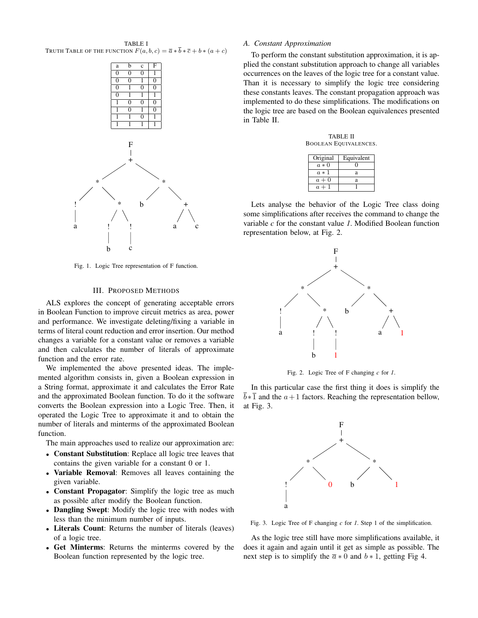TABLE I TRUTH TABLE OF THE FUNCTION  $F(a, b, c) = \overline{a} * \overline{b} * \overline{c} + b * (a + c)$ 



Fig. 1. Logic Tree representation of F function.

#### III. PROPOSED METHODS

ALS explores the concept of generating acceptable errors in Boolean Function to improve circuit metrics as area, power and performance. We investigate deleting/fixing a variable in terms of literal count reduction and error insertion. Our method changes a variable for a constant value or removes a variable and then calculates the number of literals of approximate function and the error rate.

We implemented the above presented ideas. The implemented algorithm consists in, given a Boolean expression in a String format, approximate it and calculates the Error Rate and the approximated Boolean function. To do it the software converts the Boolean expression into a Logic Tree. Then, it operated the Logic Tree to approximate it and to obtain the number of literals and minterms of the approximated Boolean function.

The main approaches used to realize our approximation are:

- Constant Substitution: Replace all logic tree leaves that contains the given variable for a constant 0 or 1.
- Variable Removal: Removes all leaves containing the given variable.
- Constant Propagator: Simplify the logic tree as much as possible after modify the Boolean function.
- Dangling Swept: Modify the logic tree with nodes with less than the minimum number of inputs.
- Literals Count: Returns the number of literals (leaves) of a logic tree.
- Get Minterms: Returns the minterms covered by the Boolean function represented by the logic tree.

## *A. Constant Approximation*

To perform the constant substitution approximation, it is applied the constant substitution approach to change all variables occurrences on the leaves of the logic tree for a constant value. Than it is necessary to simplify the logic tree considering these constants leaves. The constant propagation approach was implemented to do these simplifications. The modifications on the logic tree are based on the Boolean equivalences presented in Table II.

TABLE II BOOLEAN EQUIVALENCES.

| Original | Equivalent |
|----------|------------|
| $a * 0$  |            |
| $a * 1$  | я          |
| $a + 0$  | а          |
| $a+1$    |            |

Lets analyse the behavior of the Logic Tree class doing some simplifications after receives the command to change the variable *c* for the constant value *1*. Modified Boolean function representation below, at Fig. 2.



Fig. 2. Logic Tree of F changing *c* for *1*.

In this particular case the first thing it does is simplify the  $\overline{b} * \overline{1}$  and the  $a+1$  factors. Reaching the representation bellow, at Fig. 3.



Fig. 3. Logic Tree of F changing *c* for *1*. Step 1 of the simplification.

As the logic tree still have more simplifications available, it does it again and again until it get as simple as possible. The next step is to simplify the  $\bar{a} * 0$  and  $b * 1$ , getting Fig 4.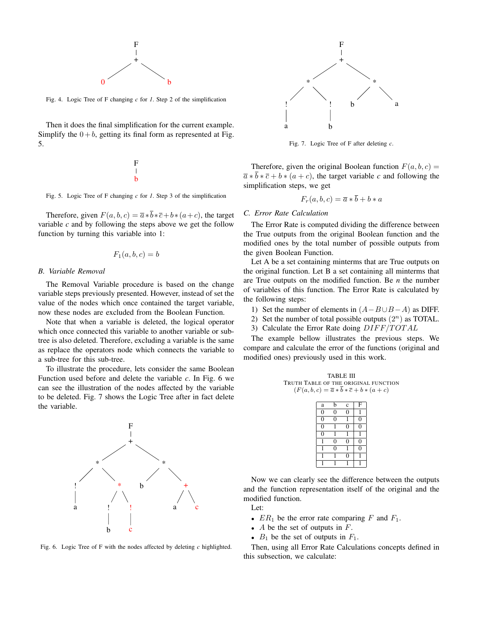

Fig. 4. Logic Tree of F changing *c* for *1*. Step 2 of the simplification

Then it does the final simplification for the current example. Simplify the  $0 + b$ , getting its final form as represented at Fig. 5.

> F b

Fig. 5. Logic Tree of F changing *c* for *1*. Step 3 of the simplification

Therefore, given  $F(a, b, c) = \overline{a} * \overline{b} * \overline{c} + b * (a + c)$ , the target variable *c* and by following the steps above we get the follow function by turning this variable into 1:

$$
F_1(a, b, c) = b
$$

#### *B. Variable Removal*

The Removal Variable procedure is based on the change variable steps previously presented. However, instead of set the value of the nodes which once contained the target variable, now these nodes are excluded from the Boolean Function.

Note that when a variable is deleted, the logical operator which once connected this variable to another variable or subtree is also deleted. Therefore, excluding a variable is the same as replace the operators node which connects the variable to a sub-tree for this sub-tree.

To illustrate the procedure, lets consider the same Boolean Function used before and delete the variable *c*. In Fig. 6 we can see the illustration of the nodes affected by the variable to be deleted. Fig. 7 shows the Logic Tree after in fact delete the variable.



Fig. 6. Logic Tree of F with the nodes affected by deleting *c* highlighted.



Fig. 7. Logic Tree of F after deleting *c*.

Therefore, given the original Boolean function  $F(a, b, c) =$  $\overline{a} * \overline{b} * \overline{c} + b * (a + c)$ , the target variable *c* and following the simplification steps, we get

$$
F_r(a, b, c) = \overline{a} * b + b * a
$$

#### *C. Error Rate Calculation*

The Error Rate is computed dividing the difference between the True outputs from the original Boolean function and the modified ones by the total number of possible outputs from the given Boolean Function.

Let A be a set containing minterms that are True outputs on the original function. Let B a set containing all minterms that are True outputs on the modified function. Be *n* the number of variables of this function. The Error Rate is calculated by the following steps:

- 1) Set the number of elements in  $(A B \cup B A)$  as DIFF.
- 2) Set the number of total possible outputs  $(2^n)$  as TOTAL.
- 3) Calculate the Error Rate doing  $DIFF/TOTAL$

The example bellow illustrates the previous steps. We compare and calculate the error of the functions (original and modified ones) previously used in this work.



| a              | b              | $\mathbf c$ | F |
|----------------|----------------|-------------|---|
| $\overline{0}$ | $\overline{0}$ | Ò           |   |
| $\overline{0}$ | $\overline{0}$ |             | O |
| $\overline{0}$ |                | 0           | Ô |
| $\overline{0}$ |                |             |   |
|                | 0              | Ò           | በ |
|                | Ò              |             | ſ |
|                |                | ſ           |   |
|                |                |             |   |

Now we can clearly see the difference between the outputs and the function representation itself of the original and the modified function.

Let:

- $ER_1$  be the error rate comparing F and  $F_1$ .
- A be the set of outputs in  $F$ .
- $B_1$  be the set of outputs in  $F_1$ .

Then, using all Error Rate Calculations concepts defined in this subsection, we calculate: